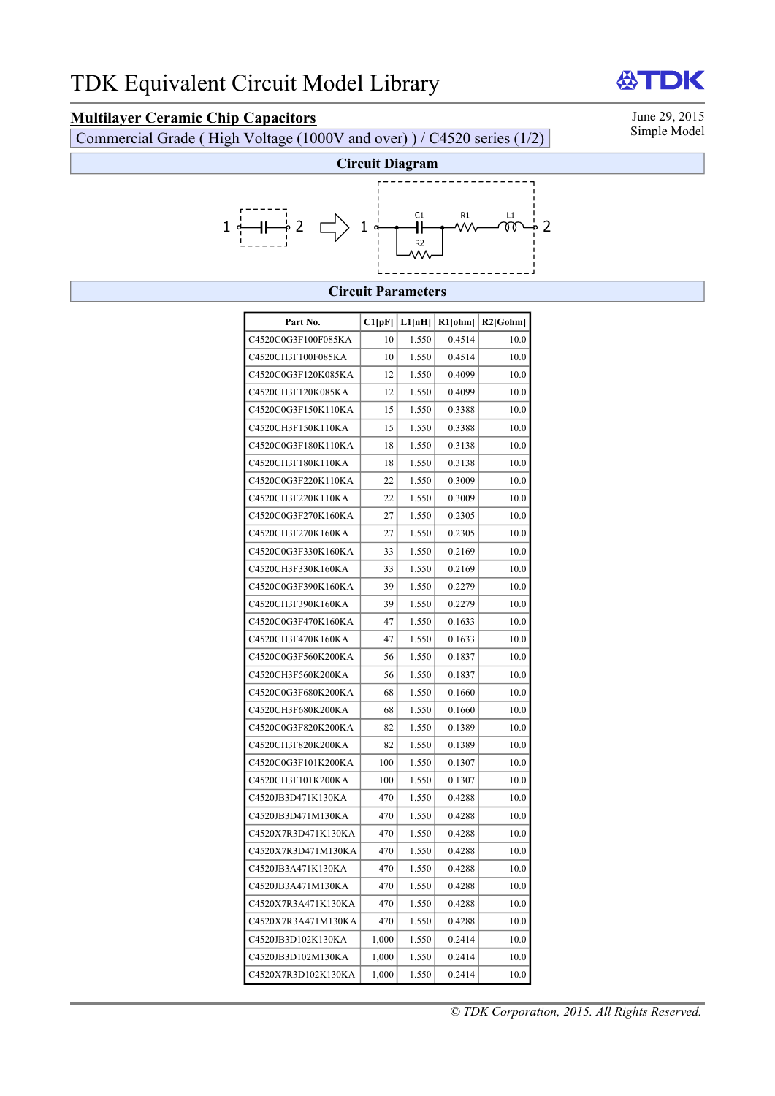# **Multilayer Ceramic Chip Capacitors** June 29, 2015<br>Commercial Grade (High Veltage (1000V and ever) ) / C4520 series (1/2) Simple Model

Commercial Grade ( High Voltage (1000V and over) ) / C4520 series (1/2)

TDK



### **Circuit Parameters**

| Part No.            | C1[pF] | L1[nH] | R1[ohm] | $R2$ [Gohm] |
|---------------------|--------|--------|---------|-------------|
| C4520C0G3F100F085KA | 10     | 1.550  | 0.4514  | 10.0        |
| C4520CH3F100F085KA  | 10     | 1.550  | 0.4514  | 10.0        |
| C4520C0G3F120K085KA | 12     | 1.550  | 0.4099  | 10.0        |
| C4520CH3F120K085KA  | 12     | 1.550  | 0.4099  | 10.0        |
| C4520C0G3F150K110KA | 15     | 1.550  | 0.3388  | 10.0        |
| C4520CH3F150K110KA  | 15     | 1.550  | 0.3388  | 10.0        |
| C4520C0G3F180K110KA | 18     | 1.550  | 0.3138  | 10.0        |
| C4520CH3F180K110KA  | 18     | 1.550  | 0.3138  | 10.0        |
| C4520C0G3F220K110KA | 22     | 1.550  | 0.3009  | 10.0        |
| C4520CH3F220K110KA  | 22     | 1.550  | 0.3009  | 10.0        |
| C4520C0G3F270K160KA | 27     | 1.550  | 0.2305  | 10.0        |
| C4520CH3F270K160KA  | 27     | 1.550  | 0.2305  | 10.0        |
| C4520C0G3F330K160KA | 33     | 1.550  | 0.2169  | 10.0        |
| C4520CH3F330K160KA  | 33     | 1.550  | 0.2169  | 10.0        |
| C4520C0G3F390K160KA | 39     | 1.550  | 0.2279  | 10.0        |
| C4520CH3F390K160KA  | 39     | 1.550  | 0.2279  | 10.0        |
| C4520C0G3F470K160KA | 47     | 1.550  | 0.1633  | 10.0        |
| C4520CH3F470K160KA  | 47     | 1.550  | 0.1633  | 10.0        |
| C4520C0G3F560K200KA | 56     | 1.550  | 0.1837  | 10.0        |
| C4520CH3F560K200KA  | 56     | 1.550  | 0.1837  | 10.0        |
| C4520C0G3F680K200KA | 68     | 1.550  | 0.1660  | 10.0        |
| C4520CH3F680K200KA  | 68     | 1.550  | 0.1660  | 10.0        |
| C4520C0G3F820K200KA | 82     | 1.550  | 0.1389  | 10.0        |
| C4520CH3F820K200KA  | 82     | 1.550  | 0.1389  | 10.0        |
| C4520C0G3F101K200KA | 100    | 1.550  | 0.1307  | 10.0        |
| C4520CH3F101K200KA  | 100    | 1.550  | 0.1307  | 10.0        |
| C4520JB3D471K130KA  | 470    | 1.550  | 0.4288  | 10.0        |
| C4520JB3D471M130KA  | 470    | 1.550  | 0.4288  | 10.0        |
| C4520X7R3D471K130KA | 470    | 1.550  | 0.4288  | 10.0        |
| C4520X7R3D471M130KA | 470    | 1.550  | 0.4288  | 10.0        |
| C4520JB3A471K130KA  | 470    | 1.550  | 0.4288  | 10.0        |
| C4520JB3A471M130KA  | 470    | 1.550  | 0.4288  | 10.0        |
| C4520X7R3A471K130KA | 470    | 1.550  | 0.4288  | 10.0        |
| C4520X7R3A471M130KA | 470    | 1.550  | 0.4288  | 10.0        |
| C4520JB3D102K130KA  | 1,000  | 1.550  | 0.2414  | 10.0        |
| C4520JB3D102M130KA  | 1,000  | 1.550  | 0.2414  | 10.0        |
| C4520X7R3D102K130KA | 1,000  | 1.550  | 0.2414  | 10.0        |

份